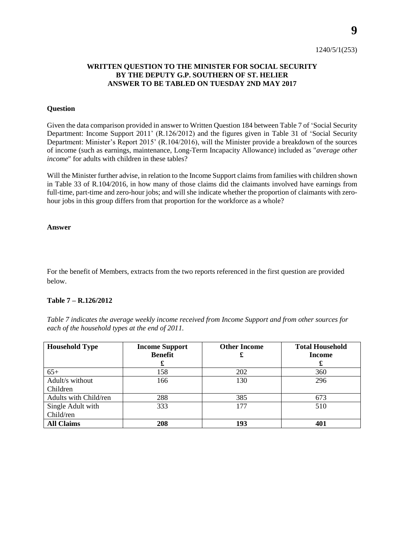## 1240/5/1(253)

# **WRITTEN QUESTION TO THE MINISTER FOR SOCIAL SECURITY BY THE DEPUTY G.P. SOUTHERN OF ST. HELIER ANSWER TO BE TABLED ON TUESDAY 2ND MAY 2017**

### **Question**

Given the data comparison provided in answer to Written Question 184 between Table 7 of 'Social Security Department: Income Support 2011' (R.126/2012) and the figures given in Table 31 of 'Social Security Department: Minister's Report 2015' (R.104/2016), will the Minister provide a breakdown of the sources of income (such as earnings, maintenance, Long-Term Incapacity Allowance) included as "*average other income*" for adults with children in these tables?

Will the Minister further advise, in relation to the Income Support claims from families with children shown in Table 33 of R.104/2016, in how many of those claims did the claimants involved have earnings from full-time, part-time and zero-hour jobs; and will she indicate whether the proportion of claimants with zerohour jobs in this group differs from that proportion for the workforce as a whole?

#### **Answer**

For the benefit of Members, extracts from the two reports referenced in the first question are provided below.

## **Table 7 – R.126/2012**

*Table 7 indicates the average weekly income received from Income Support and from other sources for each of the household types at the end of 2011.* 

| <b>Household Type</b> | <b>Income Support</b> | <b>Other Income</b> | <b>Total Household</b> |
|-----------------------|-----------------------|---------------------|------------------------|
|                       | <b>Benefit</b>        | £                   | <b>Income</b>          |
|                       | £                     |                     | £                      |
| $65+$                 | 158                   | 202                 | 360                    |
| Adult/s without       | 166                   | 130                 | 296                    |
| Children              |                       |                     |                        |
| Adults with Child/ren | 288                   | 385                 | 673                    |
| Single Adult with     | 333                   | 177                 | 510                    |
| Child/ren             |                       |                     |                        |
| <b>All Claims</b>     | 208                   | 193                 | 401                    |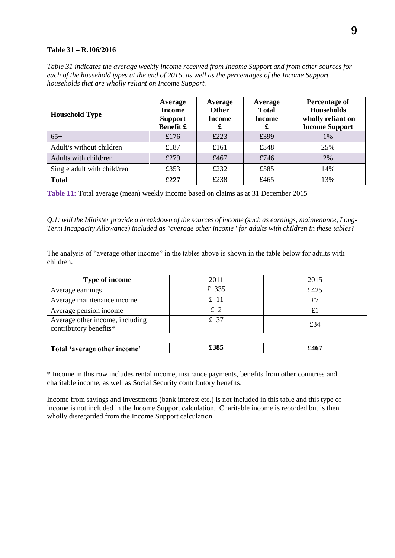## **Table 31 – R.106/2016**

*Table 31 indicates the average weekly income received from Income Support and from other sources for each of the household types at the end of 2015, as well as the percentages of the Income Support households that are wholly reliant on Income Support.*

| <b>Household Type</b>       | Average<br><b>Income</b><br><b>Support</b><br>Benefit £ | Average<br><b>Other</b><br><b>Income</b><br>£ | Average<br><b>Total</b><br><b>Income</b><br>£ | Percentage of<br><b>Households</b><br>wholly reliant on<br><b>Income Support</b> |
|-----------------------------|---------------------------------------------------------|-----------------------------------------------|-----------------------------------------------|----------------------------------------------------------------------------------|
| $65+$                       | £176                                                    | £223                                          | £399                                          | $1\%$                                                                            |
| Adult/s without children    | £187                                                    | £161                                          | £348                                          | 25%                                                                              |
| Adults with child/ren       | £279                                                    | £467                                          | £746                                          | 2%                                                                               |
| Single adult with child/ren | £353                                                    | £232                                          | £585                                          | 14%                                                                              |
| <b>Total</b>                | £227                                                    | £238                                          | £465                                          | 13%                                                                              |

**Table 11:** Total average (mean) weekly income based on claims as at 31 December 2015

*Q.1: will the Minister provide a breakdown of the sources of income (such as earnings, maintenance, Long-Term Incapacity Allowance) included as "average other income" for adults with children in these tables?*

The analysis of "average other income" in the tables above is shown in the table below for adults with children.

| <b>Type of income</b>                                     | 2011  | 2015        |  |
|-----------------------------------------------------------|-------|-------------|--|
| Average earnings                                          | £ 335 | £425        |  |
| Average maintenance income                                | £11   | £7          |  |
| Average pension income                                    | $£$ 2 | $\pounds 1$ |  |
| Average other income, including<br>contributory benefits* | £ 37  | £34         |  |
|                                                           |       |             |  |
| Total 'average other income'                              | £385  | £467        |  |

\* Income in this row includes rental income, insurance payments, benefits from other countries and charitable income, as well as Social Security contributory benefits.

Income from savings and investments (bank interest etc.) is not included in this table and this type of income is not included in the Income Support calculation. Charitable income is recorded but is then wholly disregarded from the Income Support calculation.